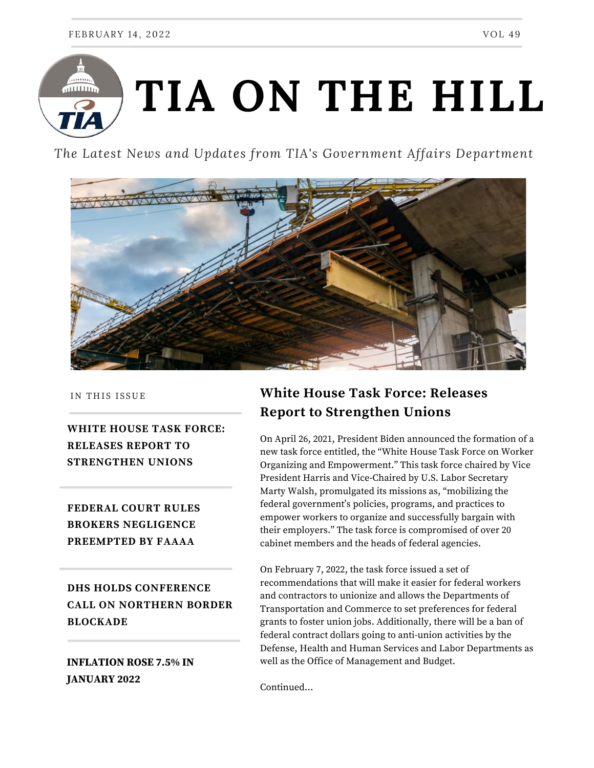

*The Latest News and Updates from TIA's Government Affairs Department*



IN THIS ISSUE

**WHITE HOUSE TASK FORCE: RELEASES REPORT TO STRENGTHEN UNIONS**

**FEDERAL COURT RULES BROKERS NEGLIGENCE PREEMPTED BY FAAAA**

**DHS HOLDS CONFERENCE CALL ON NORTHERN BORDER BLOCKADE**

### **INFLATION ROSE 7.5% IN JANUARY 2022**

# **White House Task Force: Releases Report to Strengthen Unions**

On April 26, 2021, President Biden announced the formation of a new task force entitled, the "White House Task Force on Worker Organizing and Empowerment." This task force chaired by Vice President Harris and Vice-Chaired by U.S. Labor Secretary Marty Walsh, promulgated its missions as, "mobilizing the federal government's policies, programs, and practices to empower workers to organize and successfully bargain with their employers." The task force is compromised of over 20 cabinet members and the heads of federal agencies.

On February 7, 2022, the task force issued a set of recommendations that will make it easier for federal workers and contractors to unionize and allows the Departments of Transportation and Commerce to set preferences for federal grants to foster union jobs. Additionally, there will be a ban of federal contract dollars going to anti-union activities by the Defense, Health and Human Services and Labor Departments as well as the Office of Management and Budget.

Continued...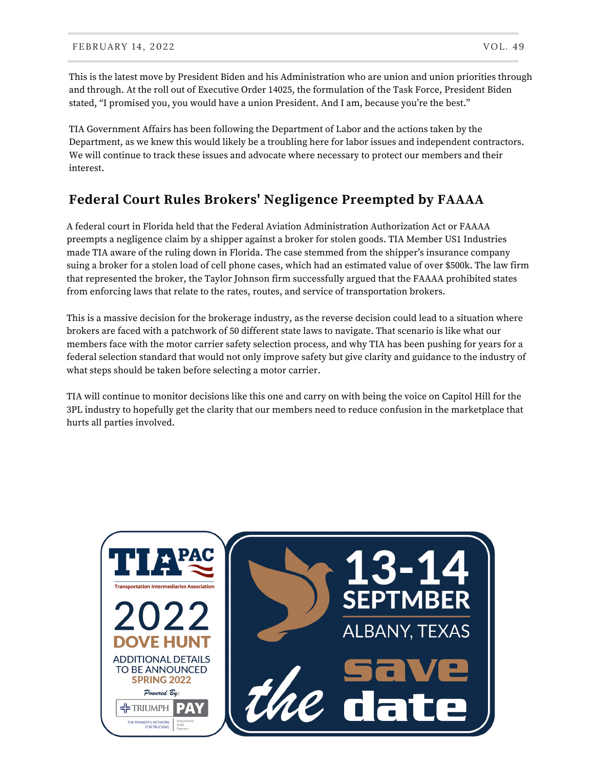This is the latest move by President Biden and his Administration who are union and union priorities through and through. At the roll out of Executive Order 14025, the formulation of the Task Force, President Biden stated, "I promised you, you would have a union President. And I am, because you're the best."

TIA Government Affairs has been following the Department of Labor and the actions taken by the Department, as we knew this would likely be a troubling here for labor issues and independent contractors. We will continue to track these issues and advocate where necessary to protect our members and their interest.

# **Federal Court Rules Brokers' Negligence Preempted by FAAAA**

A federal court in Florida held that the Federal Aviation Administration Authorization Act or FAAAA preempts a negligence claim by a shipper against a broker for stolen goods. TIA Member US1 Industries made TIA aware of the ruling down in Florida. The case stemmed from the shipper's insurance company suing a broker for a stolen load of cell phone cases, which had an estimated value of over \$500k. The law firm that represented the broker, the Taylor Johnson firm successfully argued that the FAAAA prohibited states from enforcing laws that relate to the rates, routes, and service of transportation brokers.

This is a massive decision for the brokerage industry, as the reverse decision could lead to a situation where brokers are faced with a patchwork of 50 different state laws to navigate. That scenario is like what our members face with the motor carrier safety selection process, and why TIA has been pushing for years for a federal selection standard that would not only improve safety but give clarity and guidance to the industry of what steps should be taken before selecting a motor carrier.

TIA will continue to monitor decisions like this one and carry on with being the voice on Capitol Hill for the 3PL industry to hopefully get the clarity that our members need to reduce confusion in the marketplace that hurts all parties involved.